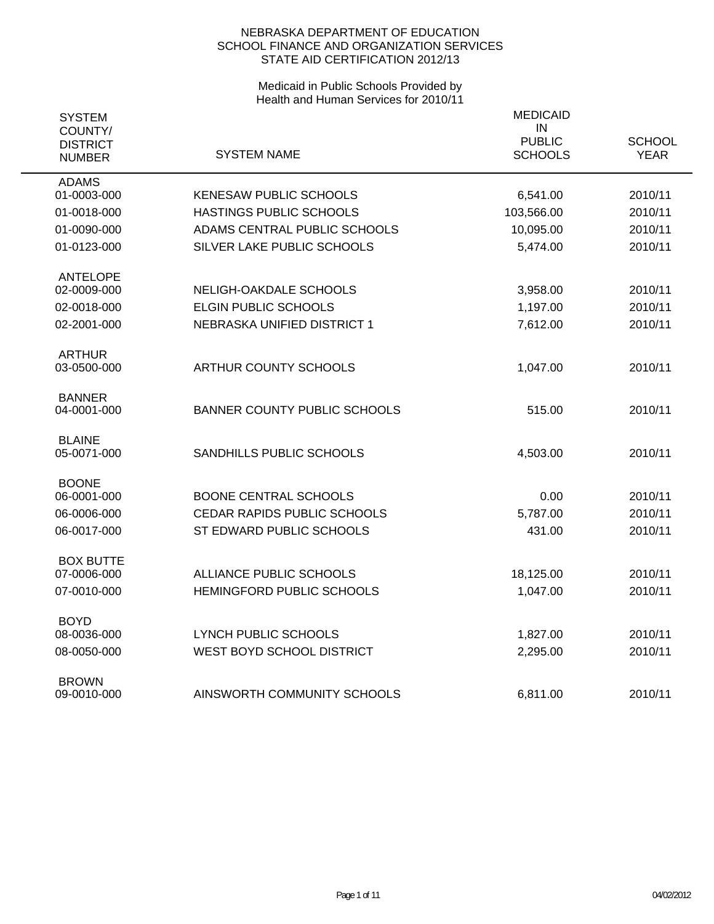| <b>SYSTEM</b><br>COUNTY/<br><b>DISTRICT</b><br><b>NUMBER</b> | <b>SYSTEM NAME</b>                  | <b>MEDICAID</b><br>IN<br><b>PUBLIC</b><br><b>SCHOOLS</b> | <b>SCHOOL</b><br><b>YEAR</b> |
|--------------------------------------------------------------|-------------------------------------|----------------------------------------------------------|------------------------------|
| <b>ADAMS</b>                                                 |                                     |                                                          |                              |
| 01-0003-000                                                  | KENESAW PUBLIC SCHOOLS              | 6,541.00                                                 | 2010/11                      |
| 01-0018-000                                                  | HASTINGS PUBLIC SCHOOLS             | 103,566.00                                               | 2010/11                      |
| 01-0090-000                                                  | ADAMS CENTRAL PUBLIC SCHOOLS        | 10,095.00                                                | 2010/11                      |
| 01-0123-000                                                  | SILVER LAKE PUBLIC SCHOOLS          | 5,474.00                                                 | 2010/11                      |
| <b>ANTELOPE</b><br>02-0009-000                               | NELIGH-OAKDALE SCHOOLS              |                                                          | 2010/11                      |
| 02-0018-000                                                  | <b>ELGIN PUBLIC SCHOOLS</b>         | 3,958.00                                                 | 2010/11                      |
| 02-2001-000                                                  | NEBRASKA UNIFIED DISTRICT 1         | 1,197.00                                                 | 2010/11                      |
|                                                              |                                     | 7,612.00                                                 |                              |
| <b>ARTHUR</b><br>03-0500-000                                 | <b>ARTHUR COUNTY SCHOOLS</b>        | 1,047.00                                                 | 2010/11                      |
| <b>BANNER</b><br>04-0001-000                                 | <b>BANNER COUNTY PUBLIC SCHOOLS</b> | 515.00                                                   | 2010/11                      |
| <b>BLAINE</b><br>05-0071-000                                 | SANDHILLS PUBLIC SCHOOLS            | 4,503.00                                                 | 2010/11                      |
| <b>BOONE</b><br>06-0001-000                                  | <b>BOONE CENTRAL SCHOOLS</b>        | 0.00                                                     | 2010/11                      |
| 06-0006-000                                                  | CEDAR RAPIDS PUBLIC SCHOOLS         | 5,787.00                                                 | 2010/11                      |
| 06-0017-000                                                  | ST EDWARD PUBLIC SCHOOLS            | 431.00                                                   | 2010/11                      |
| <b>BOX BUTTE</b>                                             |                                     |                                                          |                              |
| 07-0006-000                                                  | ALLIANCE PUBLIC SCHOOLS             | 18,125.00                                                | 2010/11                      |
| 07-0010-000                                                  | HEMINGFORD PUBLIC SCHOOLS           | 1,047.00                                                 | 2010/11                      |
| <b>BOYD</b>                                                  |                                     |                                                          |                              |
| 08-0036-000                                                  | <b>LYNCH PUBLIC SCHOOLS</b>         | 1,827.00                                                 | 2010/11                      |
| 08-0050-000                                                  | WEST BOYD SCHOOL DISTRICT           | 2,295.00                                                 | 2010/11                      |
| <b>BROWN</b><br>09-0010-000                                  | AINSWORTH COMMUNITY SCHOOLS         | 6,811.00                                                 | 2010/11                      |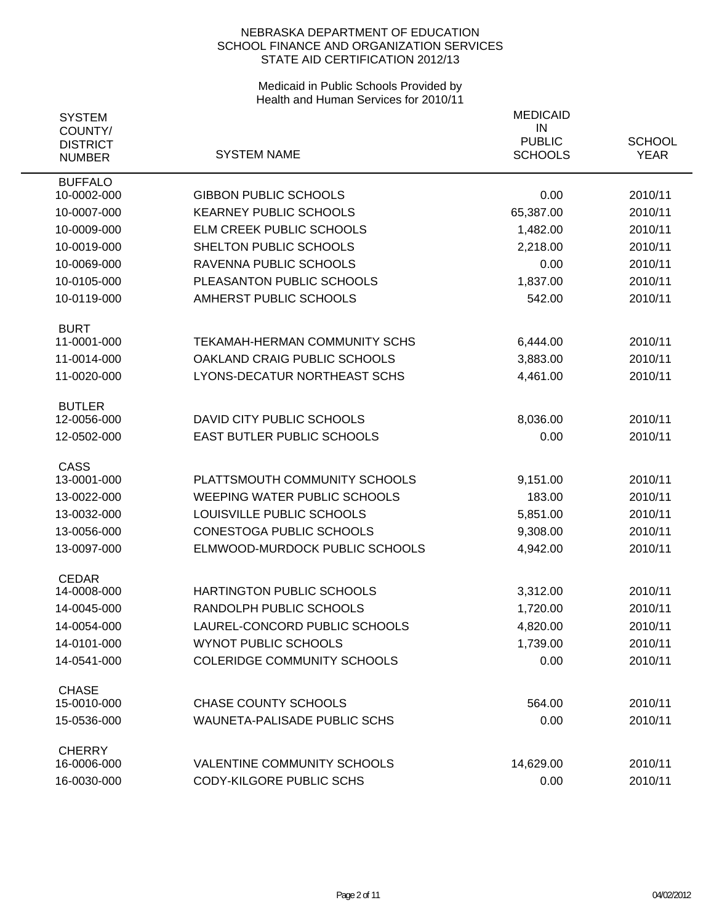| <b>SYSTEM</b><br>COUNTY/<br><b>DISTRICT</b><br><b>NUMBER</b> | <b>SYSTEM NAME</b>                  | <b>MEDICAID</b><br>IN<br><b>PUBLIC</b><br><b>SCHOOLS</b> | <b>SCHOOL</b><br><b>YEAR</b> |
|--------------------------------------------------------------|-------------------------------------|----------------------------------------------------------|------------------------------|
| <b>BUFFALO</b><br>10-0002-000                                | <b>GIBBON PUBLIC SCHOOLS</b>        | 0.00                                                     | 2010/11                      |
| 10-0007-000                                                  | <b>KEARNEY PUBLIC SCHOOLS</b>       | 65,387.00                                                | 2010/11                      |
| 10-0009-000                                                  | ELM CREEK PUBLIC SCHOOLS            | 1,482.00                                                 | 2010/11                      |
| 10-0019-000                                                  | SHELTON PUBLIC SCHOOLS              | 2,218.00                                                 | 2010/11                      |
| 10-0069-000                                                  | RAVENNA PUBLIC SCHOOLS              | 0.00                                                     | 2010/11                      |
| 10-0105-000                                                  | PLEASANTON PUBLIC SCHOOLS           | 1,837.00                                                 | 2010/11                      |
| 10-0119-000                                                  | AMHERST PUBLIC SCHOOLS              | 542.00                                                   | 2010/11                      |
| <b>BURT</b>                                                  |                                     |                                                          |                              |
| 11-0001-000                                                  | TEKAMAH-HERMAN COMMUNITY SCHS       | 6,444.00                                                 | 2010/11                      |
| 11-0014-000                                                  | OAKLAND CRAIG PUBLIC SCHOOLS        | 3,883.00                                                 | 2010/11                      |
| 11-0020-000                                                  | LYONS-DECATUR NORTHEAST SCHS        | 4,461.00                                                 | 2010/11                      |
| <b>BUTLER</b>                                                |                                     |                                                          |                              |
| 12-0056-000                                                  | DAVID CITY PUBLIC SCHOOLS           | 8,036.00                                                 | 2010/11                      |
| 12-0502-000                                                  | EAST BUTLER PUBLIC SCHOOLS          | 0.00                                                     | 2010/11                      |
| <b>CASS</b><br>13-0001-000                                   | PLATTSMOUTH COMMUNITY SCHOOLS       | 9,151.00                                                 | 2010/11                      |
| 13-0022-000                                                  | <b>WEEPING WATER PUBLIC SCHOOLS</b> | 183.00                                                   | 2010/11                      |
| 13-0032-000                                                  | LOUISVILLE PUBLIC SCHOOLS           | 5,851.00                                                 | 2010/11                      |
| 13-0056-000                                                  | <b>CONESTOGA PUBLIC SCHOOLS</b>     | 9,308.00                                                 | 2010/11                      |
| 13-0097-000                                                  | ELMWOOD-MURDOCK PUBLIC SCHOOLS      | 4,942.00                                                 | 2010/11                      |
| <b>CEDAR</b>                                                 |                                     |                                                          |                              |
| 14-0008-000                                                  | HARTINGTON PUBLIC SCHOOLS           | 3,312.00                                                 | 2010/11                      |
| 14-0045-000                                                  | RANDOLPH PUBLIC SCHOOLS             | 1,720.00                                                 | 2010/11                      |
| 14-0054-000                                                  | LAUREL-CONCORD PUBLIC SCHOOLS       | 4,820.00                                                 | 2010/11                      |
| 14-0101-000                                                  | <b>WYNOT PUBLIC SCHOOLS</b>         | 1,739.00                                                 | 2010/11                      |
| 14-0541-000                                                  | <b>COLERIDGE COMMUNITY SCHOOLS</b>  | 0.00                                                     | 2010/11                      |
| <b>CHASE</b>                                                 |                                     |                                                          |                              |
| 15-0010-000                                                  | <b>CHASE COUNTY SCHOOLS</b>         | 564.00                                                   | 2010/11                      |
| 15-0536-000                                                  | <b>WAUNETA-PALISADE PUBLIC SCHS</b> | 0.00                                                     | 2010/11                      |
| <b>CHERRY</b><br>16-0006-000                                 | <b>VALENTINE COMMUNITY SCHOOLS</b>  | 14,629.00                                                | 2010/11                      |
| 16-0030-000                                                  | CODY-KILGORE PUBLIC SCHS            | 0.00                                                     | 2010/11                      |
|                                                              |                                     |                                                          |                              |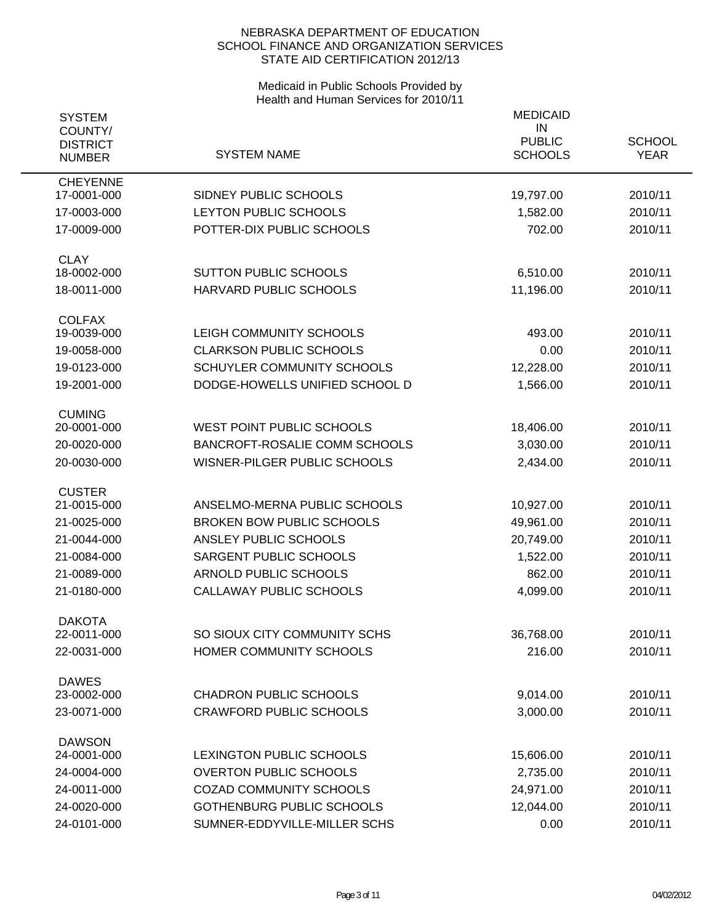| <b>SYSTEM</b><br>COUNTY/<br><b>DISTRICT</b><br><b>NUMBER</b> | <b>SYSTEM NAME</b>                                                  | <b>MEDICAID</b><br>IN<br><b>PUBLIC</b><br><b>SCHOOLS</b> | <b>SCHOOL</b><br><b>YEAR</b> |
|--------------------------------------------------------------|---------------------------------------------------------------------|----------------------------------------------------------|------------------------------|
| <b>CHEYENNE</b><br>17-0001-000                               | SIDNEY PUBLIC SCHOOLS                                               | 19,797.00                                                | 2010/11                      |
| 17-0003-000                                                  | LEYTON PUBLIC SCHOOLS                                               | 1,582.00                                                 | 2010/11                      |
| 17-0009-000                                                  | POTTER-DIX PUBLIC SCHOOLS                                           | 702.00                                                   | 2010/11                      |
| <b>CLAY</b><br>18-0002-000                                   | <b>SUTTON PUBLIC SCHOOLS</b>                                        | 6,510.00                                                 | 2010/11                      |
| 18-0011-000                                                  | HARVARD PUBLIC SCHOOLS                                              | 11,196.00                                                | 2010/11                      |
| <b>COLFAX</b>                                                |                                                                     |                                                          |                              |
| 19-0039-000                                                  | LEIGH COMMUNITY SCHOOLS                                             | 493.00                                                   | 2010/11                      |
| 19-0058-000                                                  | <b>CLARKSON PUBLIC SCHOOLS</b><br><b>SCHUYLER COMMUNITY SCHOOLS</b> | 0.00                                                     | 2010/11                      |
| 19-0123-000                                                  |                                                                     | 12,228.00                                                | 2010/11                      |
| 19-2001-000                                                  | DODGE-HOWELLS UNIFIED SCHOOL D                                      | 1,566.00                                                 | 2010/11                      |
| <b>CUMING</b><br>20-0001-000                                 | <b>WEST POINT PUBLIC SCHOOLS</b>                                    | 18,406.00                                                | 2010/11                      |
| 20-0020-000                                                  | BANCROFT-ROSALIE COMM SCHOOLS                                       | 3,030.00                                                 | 2010/11                      |
| 20-0030-000                                                  | WISNER-PILGER PUBLIC SCHOOLS                                        | 2,434.00                                                 | 2010/11                      |
| <b>CUSTER</b>                                                |                                                                     |                                                          |                              |
| 21-0015-000                                                  | ANSELMO-MERNA PUBLIC SCHOOLS                                        | 10,927.00                                                | 2010/11                      |
| 21-0025-000                                                  | <b>BROKEN BOW PUBLIC SCHOOLS</b><br>ANSLEY PUBLIC SCHOOLS           | 49,961.00                                                | 2010/11                      |
| 21-0044-000                                                  |                                                                     | 20,749.00                                                | 2010/11                      |
| 21-0084-000<br>21-0089-000                                   | SARGENT PUBLIC SCHOOLS<br>ARNOLD PUBLIC SCHOOLS                     | 1,522.00<br>862.00                                       | 2010/11<br>2010/11           |
| 21-0180-000                                                  | CALLAWAY PUBLIC SCHOOLS                                             | 4,099.00                                                 | 2010/11                      |
|                                                              |                                                                     |                                                          |                              |
| <b>DAKOTA</b><br>22-0011-000                                 | SO SIOUX CITY COMMUNITY SCHS                                        | 36,768.00                                                | 2010/11                      |
| 22-0031-000                                                  | HOMER COMMUNITY SCHOOLS                                             | 216.00                                                   | 2010/11                      |
| <b>DAWES</b><br>23-0002-000                                  | <b>CHADRON PUBLIC SCHOOLS</b>                                       | 9,014.00                                                 | 2010/11                      |
| 23-0071-000                                                  | <b>CRAWFORD PUBLIC SCHOOLS</b>                                      | 3,000.00                                                 | 2010/11                      |
| <b>DAWSON</b>                                                |                                                                     |                                                          |                              |
| 24-0001-000                                                  | LEXINGTON PUBLIC SCHOOLS                                            | 15,606.00                                                | 2010/11                      |
| 24-0004-000                                                  | <b>OVERTON PUBLIC SCHOOLS</b>                                       | 2,735.00                                                 | 2010/11                      |
| 24-0011-000                                                  | <b>COZAD COMMUNITY SCHOOLS</b>                                      | 24,971.00                                                | 2010/11                      |
| 24-0020-000                                                  | <b>GOTHENBURG PUBLIC SCHOOLS</b>                                    | 12,044.00                                                | 2010/11                      |
| 24-0101-000                                                  | SUMNER-EDDYVILLE-MILLER SCHS                                        | 0.00                                                     | 2010/11                      |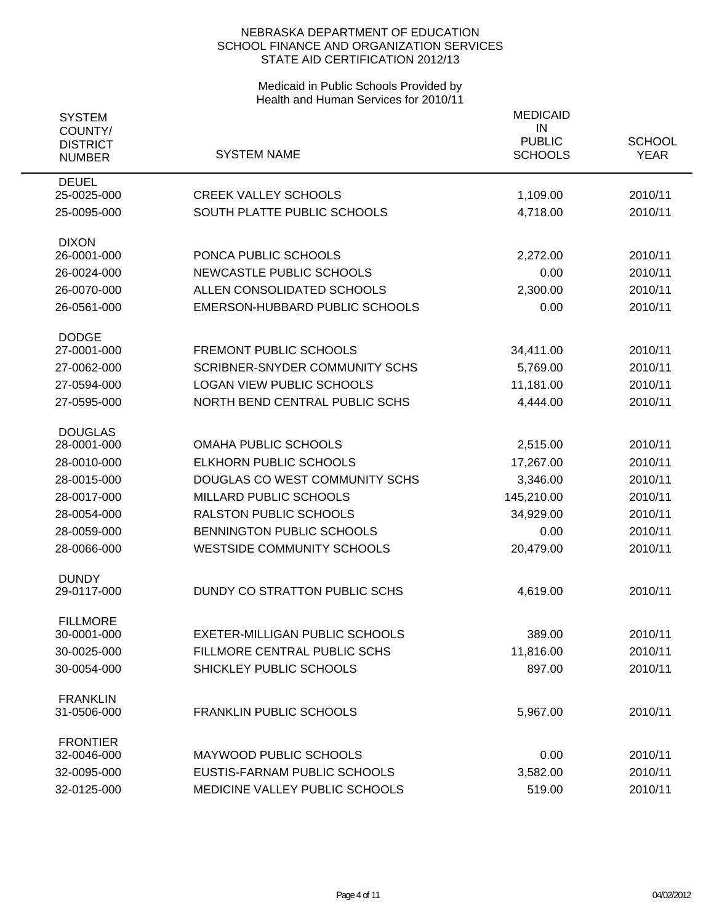| <b>SYSTEM</b><br>COUNTY/<br><b>DISTRICT</b><br><b>NUMBER</b> | <b>SYSTEM NAME</b>                    | <b>MEDICAID</b><br>IN<br><b>PUBLIC</b><br><b>SCHOOLS</b> | <b>SCHOOL</b><br><b>YEAR</b> |
|--------------------------------------------------------------|---------------------------------------|----------------------------------------------------------|------------------------------|
| <b>DEUEL</b><br>25-0025-000                                  | <b>CREEK VALLEY SCHOOLS</b>           | 1,109.00                                                 | 2010/11                      |
| 25-0095-000                                                  | SOUTH PLATTE PUBLIC SCHOOLS           | 4,718.00                                                 | 2010/11                      |
| <b>DIXON</b><br>26-0001-000                                  | PONCA PUBLIC SCHOOLS                  | 2,272.00                                                 | 2010/11                      |
| 26-0024-000                                                  | NEWCASTLE PUBLIC SCHOOLS              | 0.00                                                     | 2010/11                      |
| 26-0070-000                                                  | ALLEN CONSOLIDATED SCHOOLS            | 2,300.00                                                 | 2010/11                      |
| 26-0561-000                                                  | EMERSON-HUBBARD PUBLIC SCHOOLS        | 0.00                                                     | 2010/11                      |
| <b>DODGE</b>                                                 |                                       |                                                          |                              |
| 27-0001-000                                                  | <b>FREMONT PUBLIC SCHOOLS</b>         | 34,411.00                                                | 2010/11                      |
| 27-0062-000                                                  | <b>SCRIBNER-SNYDER COMMUNITY SCHS</b> | 5,769.00                                                 | 2010/11                      |
| 27-0594-000                                                  | <b>LOGAN VIEW PUBLIC SCHOOLS</b>      | 11,181.00                                                | 2010/11                      |
| 27-0595-000                                                  | NORTH BEND CENTRAL PUBLIC SCHS        | 4,444.00                                                 | 2010/11                      |
| <b>DOUGLAS</b>                                               |                                       |                                                          |                              |
| 28-0001-000                                                  | <b>OMAHA PUBLIC SCHOOLS</b>           | 2,515.00                                                 | 2010/11                      |
| 28-0010-000                                                  | <b>ELKHORN PUBLIC SCHOOLS</b>         | 17,267.00                                                | 2010/11                      |
| 28-0015-000                                                  | DOUGLAS CO WEST COMMUNITY SCHS        | 3,346.00                                                 | 2010/11                      |
| 28-0017-000                                                  | <b>MILLARD PUBLIC SCHOOLS</b>         | 145,210.00                                               | 2010/11                      |
| 28-0054-000                                                  | <b>RALSTON PUBLIC SCHOOLS</b>         | 34,929.00                                                | 2010/11                      |
| 28-0059-000                                                  | BENNINGTON PUBLIC SCHOOLS             | 0.00                                                     | 2010/11                      |
| 28-0066-000                                                  | <b>WESTSIDE COMMUNITY SCHOOLS</b>     | 20,479.00                                                | 2010/11                      |
| <b>DUNDY</b><br>29-0117-000                                  | DUNDY CO STRATTON PUBLIC SCHS         | 4,619.00                                                 | 2010/11                      |
| <b>FILLMORE</b>                                              |                                       |                                                          |                              |
| 30-0001-000                                                  | EXETER-MILLIGAN PUBLIC SCHOOLS        | 389.00                                                   | 2010/11                      |
| 30-0025-000                                                  | FILLMORE CENTRAL PUBLIC SCHS          | 11,816.00                                                | 2010/11                      |
| 30-0054-000                                                  | SHICKLEY PUBLIC SCHOOLS               | 897.00                                                   | 2010/11                      |
| <b>FRANKLIN</b><br>31-0506-000                               | <b>FRANKLIN PUBLIC SCHOOLS</b>        | 5,967.00                                                 | 2010/11                      |
| <b>FRONTIER</b><br>32-0046-000                               | MAYWOOD PUBLIC SCHOOLS                | 0.00                                                     | 2010/11                      |
| 32-0095-000                                                  | EUSTIS-FARNAM PUBLIC SCHOOLS          | 3,582.00                                                 | 2010/11                      |
| 32-0125-000                                                  | MEDICINE VALLEY PUBLIC SCHOOLS        | 519.00                                                   | 2010/11                      |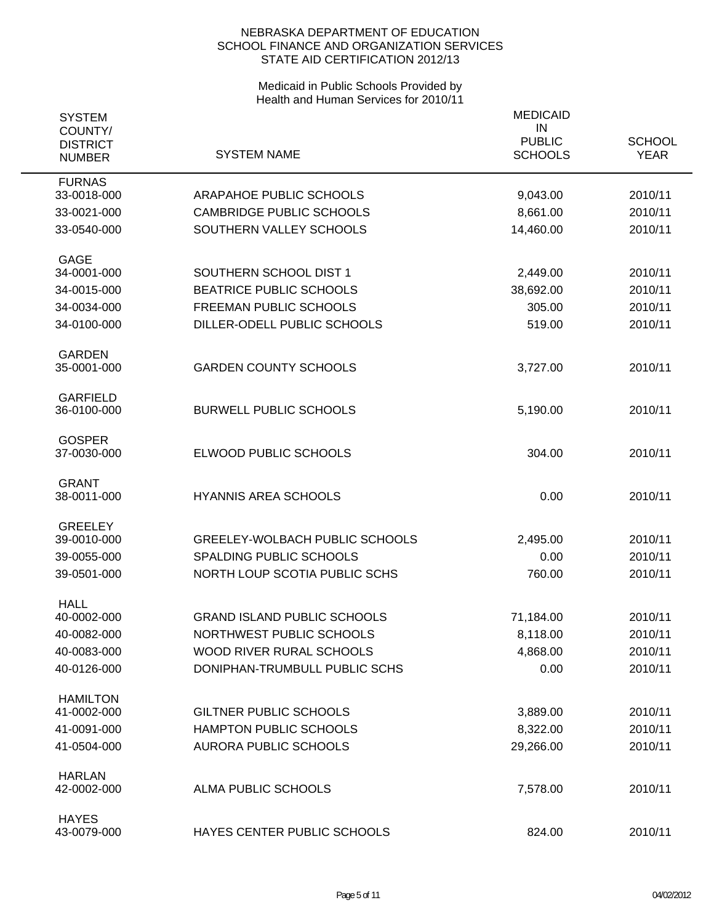| <b>SYSTEM</b>                               |                                       | <b>MEDICAID</b><br>IN           |                              |
|---------------------------------------------|---------------------------------------|---------------------------------|------------------------------|
| COUNTY/<br><b>DISTRICT</b><br><b>NUMBER</b> | <b>SYSTEM NAME</b>                    | <b>PUBLIC</b><br><b>SCHOOLS</b> | <b>SCHOOL</b><br><b>YEAR</b> |
| <b>FURNAS</b>                               |                                       |                                 |                              |
| 33-0018-000                                 | ARAPAHOE PUBLIC SCHOOLS               | 9,043.00                        | 2010/11                      |
| 33-0021-000                                 | <b>CAMBRIDGE PUBLIC SCHOOLS</b>       | 8,661.00                        | 2010/11                      |
| 33-0540-000                                 | SOUTHERN VALLEY SCHOOLS               | 14,460.00                       | 2010/11                      |
| <b>GAGE</b>                                 |                                       |                                 |                              |
| 34-0001-000                                 | SOUTHERN SCHOOL DIST 1                | 2,449.00                        | 2010/11                      |
| 34-0015-000                                 | <b>BEATRICE PUBLIC SCHOOLS</b>        | 38,692.00                       | 2010/11                      |
| 34-0034-000                                 | <b>FREEMAN PUBLIC SCHOOLS</b>         | 305.00                          | 2010/11                      |
| 34-0100-000                                 | DILLER-ODELL PUBLIC SCHOOLS           | 519.00                          | 2010/11                      |
| <b>GARDEN</b><br>35-0001-000                | <b>GARDEN COUNTY SCHOOLS</b>          | 3,727.00                        | 2010/11                      |
| <b>GARFIELD</b><br>36-0100-000              | <b>BURWELL PUBLIC SCHOOLS</b>         | 5,190.00                        | 2010/11                      |
| <b>GOSPER</b><br>37-0030-000                | ELWOOD PUBLIC SCHOOLS                 | 304.00                          | 2010/11                      |
| <b>GRANT</b><br>38-0011-000                 | <b>HYANNIS AREA SCHOOLS</b>           | 0.00                            | 2010/11                      |
| <b>GREELEY</b>                              |                                       |                                 |                              |
| 39-0010-000                                 | <b>GREELEY-WOLBACH PUBLIC SCHOOLS</b> | 2,495.00                        | 2010/11                      |
| 39-0055-000                                 | SPALDING PUBLIC SCHOOLS               | 0.00                            | 2010/11                      |
| 39-0501-000                                 | NORTH LOUP SCOTIA PUBLIC SCHS         | 760.00                          | 2010/11                      |
| <b>HALL</b><br>40-0002-000                  | <b>GRAND ISLAND PUBLIC SCHOOLS</b>    | 71,184.00                       | 2010/11                      |
| 40-0082-000                                 | NORTHWEST PUBLIC SCHOOLS              | 8,118.00                        | 2010/11                      |
| 40-0083-000                                 | WOOD RIVER RURAL SCHOOLS              | 4,868.00                        | 2010/11                      |
| 40-0126-000                                 | DONIPHAN-TRUMBULL PUBLIC SCHS         | 0.00                            | 2010/11                      |
|                                             |                                       |                                 |                              |
| <b>HAMILTON</b><br>41-0002-000              | <b>GILTNER PUBLIC SCHOOLS</b>         | 3,889.00                        | 2010/11                      |
| 41-0091-000                                 | HAMPTON PUBLIC SCHOOLS                | 8,322.00                        | 2010/11                      |
| 41-0504-000                                 | <b>AURORA PUBLIC SCHOOLS</b>          | 29,266.00                       | 2010/11                      |
| <b>HARLAN</b><br>42-0002-000                | <b>ALMA PUBLIC SCHOOLS</b>            | 7,578.00                        | 2010/11                      |
| <b>HAYES</b><br>43-0079-000                 | HAYES CENTER PUBLIC SCHOOLS           | 824.00                          | 2010/11                      |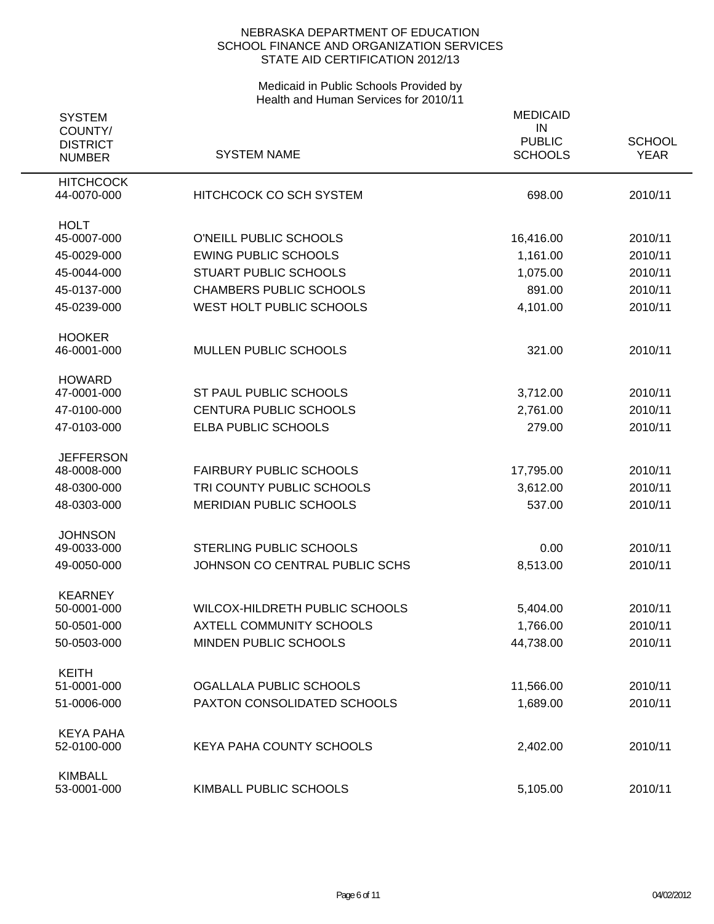| <b>SYSTEM</b>              |                                 | <b>MEDICAID</b>     |               |
|----------------------------|---------------------------------|---------------------|---------------|
| COUNTY/<br><b>DISTRICT</b> |                                 | IN<br><b>PUBLIC</b> | <b>SCHOOL</b> |
| <b>NUMBER</b>              | <b>SYSTEM NAME</b>              | <b>SCHOOLS</b>      | <b>YEAR</b>   |
| <b>HITCHCOCK</b>           |                                 |                     |               |
| 44-0070-000                | <b>HITCHCOCK CO SCH SYSTEM</b>  | 698.00              | 2010/11       |
| <b>HOLT</b>                |                                 |                     |               |
| 45-0007-000                | O'NEILL PUBLIC SCHOOLS          | 16,416.00           | 2010/11       |
| 45-0029-000                | <b>EWING PUBLIC SCHOOLS</b>     | 1,161.00            | 2010/11       |
| 45-0044-000                | <b>STUART PUBLIC SCHOOLS</b>    | 1,075.00            | 2010/11       |
| 45-0137-000                | <b>CHAMBERS PUBLIC SCHOOLS</b>  | 891.00              | 2010/11       |
| 45-0239-000                | WEST HOLT PUBLIC SCHOOLS        | 4,101.00            | 2010/11       |
| <b>HOOKER</b>              |                                 |                     |               |
| 46-0001-000                | MULLEN PUBLIC SCHOOLS           | 321.00              | 2010/11       |
| <b>HOWARD</b>              |                                 |                     |               |
| 47-0001-000                | ST PAUL PUBLIC SCHOOLS          | 3,712.00            | 2010/11       |
| 47-0100-000                | <b>CENTURA PUBLIC SCHOOLS</b>   | 2,761.00            | 2010/11       |
| 47-0103-000                | ELBA PUBLIC SCHOOLS             | 279.00              | 2010/11       |
| <b>JEFFERSON</b>           |                                 |                     |               |
| 48-0008-000                | <b>FAIRBURY PUBLIC SCHOOLS</b>  | 17,795.00           | 2010/11       |
| 48-0300-000                | TRI COUNTY PUBLIC SCHOOLS       | 3,612.00            | 2010/11       |
| 48-0303-000                | <b>MERIDIAN PUBLIC SCHOOLS</b>  | 537.00              | 2010/11       |
| <b>JOHNSON</b>             |                                 |                     |               |
| 49-0033-000                | <b>STERLING PUBLIC SCHOOLS</b>  | 0.00                | 2010/11       |
| 49-0050-000                | JOHNSON CO CENTRAL PUBLIC SCHS  | 8,513.00            | 2010/11       |
| <b>KEARNEY</b>             |                                 |                     |               |
| 50-0001-000                | WILCOX-HILDRETH PUBLIC SCHOOLS  | 5,404.00            | 2010/11       |
| 50-0501-000                | <b>AXTELL COMMUNITY SCHOOLS</b> | 1,766.00            | 2010/11       |
| 50-0503-000                | MINDEN PUBLIC SCHOOLS           | 44,738.00           | 2010/11       |
| <b>KEITH</b>               |                                 |                     |               |
| 51-0001-000                | OGALLALA PUBLIC SCHOOLS         | 11,566.00           | 2010/11       |
| 51-0006-000                | PAXTON CONSOLIDATED SCHOOLS     | 1,689.00            | 2010/11       |
| <b>KEYA PAHA</b>           |                                 |                     |               |
| 52-0100-000                | <b>KEYA PAHA COUNTY SCHOOLS</b> | 2,402.00            | 2010/11       |
| <b>KIMBALL</b>             |                                 |                     |               |
| 53-0001-000                | KIMBALL PUBLIC SCHOOLS          | 5,105.00            | 2010/11       |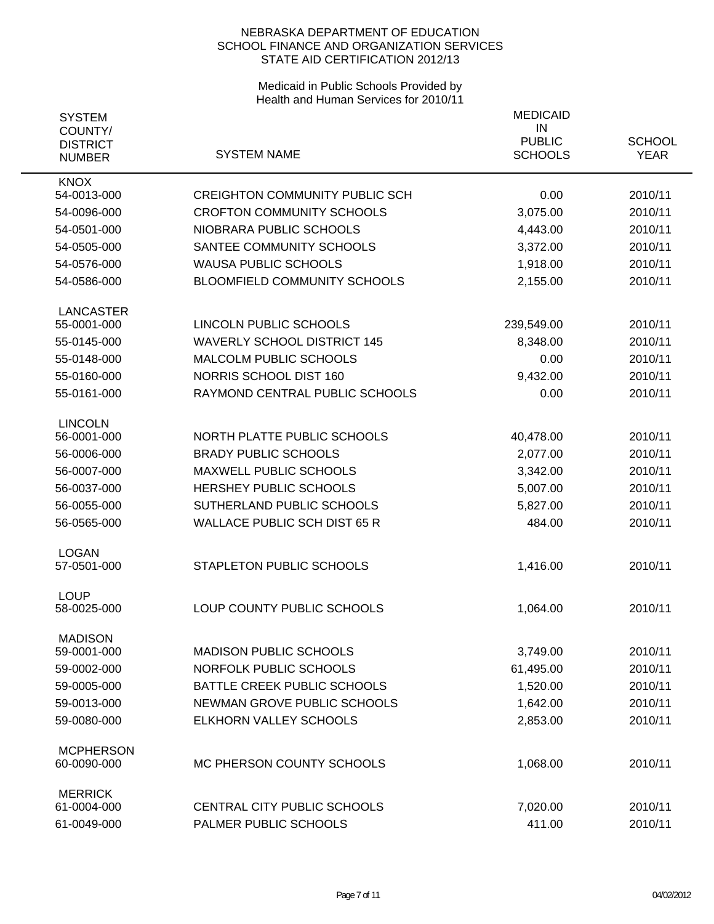| <b>SYSTEM</b><br>COUNTY/<br><b>DISTRICT</b><br><b>NUMBER</b> | <b>SYSTEM NAME</b>                    | <b>MEDICAID</b><br>IN<br><b>PUBLIC</b><br><b>SCHOOLS</b> | <b>SCHOOL</b><br><b>YEAR</b> |
|--------------------------------------------------------------|---------------------------------------|----------------------------------------------------------|------------------------------|
| <b>KNOX</b><br>54-0013-000                                   | <b>CREIGHTON COMMUNITY PUBLIC SCH</b> | 0.00                                                     | 2010/11                      |
| 54-0096-000                                                  | <b>CROFTON COMMUNITY SCHOOLS</b>      | 3,075.00                                                 | 2010/11                      |
| 54-0501-000                                                  | NIOBRARA PUBLIC SCHOOLS               | 4,443.00                                                 | 2010/11                      |
| 54-0505-000                                                  | SANTEE COMMUNITY SCHOOLS              | 3,372.00                                                 | 2010/11                      |
| 54-0576-000                                                  | <b>WAUSA PUBLIC SCHOOLS</b>           | 1,918.00                                                 | 2010/11                      |
| 54-0586-000                                                  | BLOOMFIELD COMMUNITY SCHOOLS          | 2,155.00                                                 | 2010/11                      |
|                                                              |                                       |                                                          |                              |
| <b>LANCASTER</b>                                             |                                       |                                                          |                              |
| 55-0001-000                                                  | LINCOLN PUBLIC SCHOOLS                | 239,549.00                                               | 2010/11                      |
| 55-0145-000                                                  | <b>WAVERLY SCHOOL DISTRICT 145</b>    | 8,348.00                                                 | 2010/11                      |
| 55-0148-000                                                  | MALCOLM PUBLIC SCHOOLS                | 0.00                                                     | 2010/11                      |
| 55-0160-000                                                  | NORRIS SCHOOL DIST 160                | 9,432.00                                                 | 2010/11                      |
| 55-0161-000                                                  | RAYMOND CENTRAL PUBLIC SCHOOLS        | 0.00                                                     | 2010/11                      |
| <b>LINCOLN</b>                                               |                                       |                                                          |                              |
| 56-0001-000                                                  | NORTH PLATTE PUBLIC SCHOOLS           | 40,478.00                                                | 2010/11                      |
| 56-0006-000                                                  | <b>BRADY PUBLIC SCHOOLS</b>           | 2,077.00                                                 | 2010/11                      |
| 56-0007-000                                                  | <b>MAXWELL PUBLIC SCHOOLS</b>         | 3,342.00                                                 | 2010/11                      |
| 56-0037-000                                                  | <b>HERSHEY PUBLIC SCHOOLS</b>         | 5,007.00                                                 | 2010/11                      |
| 56-0055-000                                                  | SUTHERLAND PUBLIC SCHOOLS             | 5,827.00                                                 | 2010/11                      |
| 56-0565-000                                                  | <b>WALLACE PUBLIC SCH DIST 65 R</b>   | 484.00                                                   | 2010/11                      |
|                                                              |                                       |                                                          |                              |
| <b>LOGAN</b><br>57-0501-000                                  | STAPLETON PUBLIC SCHOOLS              | 1,416.00                                                 | 2010/11                      |
|                                                              |                                       |                                                          |                              |
| <b>LOUP</b>                                                  |                                       |                                                          |                              |
| 58-0025-000                                                  | LOUP COUNTY PUBLIC SCHOOLS            | 1,064.00                                                 | 2010/11                      |
| <b>MADISON</b>                                               |                                       |                                                          |                              |
| 59-0001-000                                                  | <b>MADISON PUBLIC SCHOOLS</b>         | 3,749.00                                                 | 2010/11                      |
| 59-0002-000                                                  | NORFOLK PUBLIC SCHOOLS                | 61,495.00                                                | 2010/11                      |
| 59-0005-000                                                  | BATTLE CREEK PUBLIC SCHOOLS           | 1,520.00                                                 | 2010/11                      |
| 59-0013-000                                                  | NEWMAN GROVE PUBLIC SCHOOLS           | 1,642.00                                                 | 2010/11                      |
| 59-0080-000                                                  | ELKHORN VALLEY SCHOOLS                | 2,853.00                                                 | 2010/11                      |
| <b>MCPHERSON</b>                                             |                                       |                                                          |                              |
| 60-0090-000                                                  | MC PHERSON COUNTY SCHOOLS             | 1,068.00                                                 | 2010/11                      |
|                                                              |                                       |                                                          |                              |
| <b>MERRICK</b><br>61-0004-000                                | CENTRAL CITY PUBLIC SCHOOLS           | 7,020.00                                                 | 2010/11                      |
| 61-0049-000                                                  | PALMER PUBLIC SCHOOLS                 | 411.00                                                   | 2010/11                      |
|                                                              |                                       |                                                          |                              |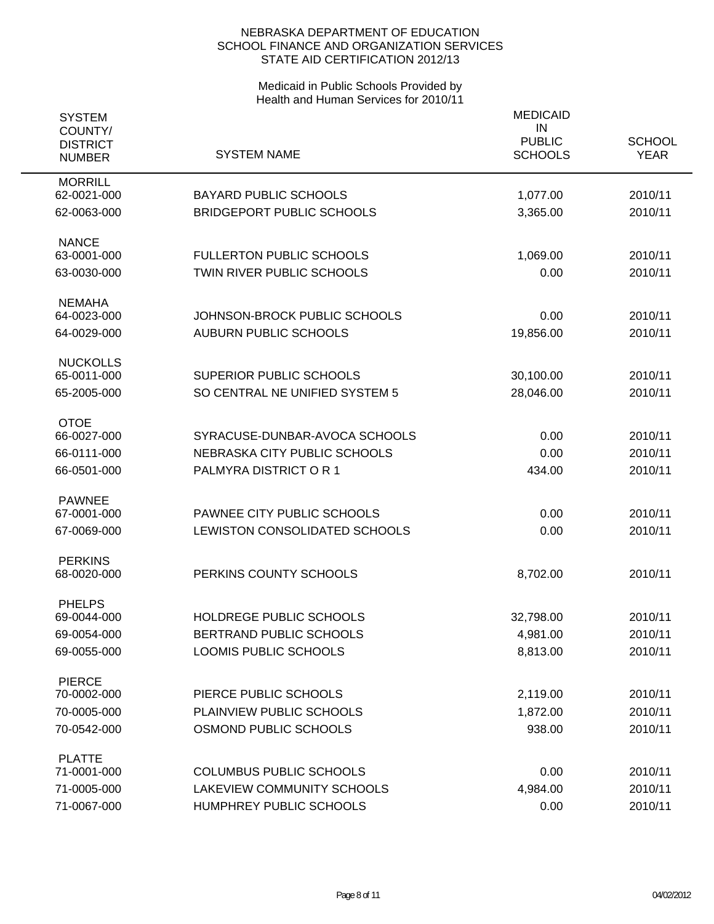| <b>SYSTEM</b><br>COUNTY/<br><b>DISTRICT</b><br><b>NUMBER</b> | <b>SYSTEM NAME</b>                                                  | <b>MEDICAID</b><br>IN<br><b>PUBLIC</b><br><b>SCHOOLS</b> | <b>SCHOOL</b><br><b>YEAR</b> |
|--------------------------------------------------------------|---------------------------------------------------------------------|----------------------------------------------------------|------------------------------|
| <b>MORRILL</b><br>62-0021-000                                | <b>BAYARD PUBLIC SCHOOLS</b>                                        | 1,077.00                                                 | 2010/11                      |
| 62-0063-000                                                  | <b>BRIDGEPORT PUBLIC SCHOOLS</b>                                    | 3,365.00                                                 | 2010/11                      |
| <b>NANCE</b>                                                 |                                                                     |                                                          |                              |
| 63-0001-000<br>63-0030-000                                   | <b>FULLERTON PUBLIC SCHOOLS</b><br><b>TWIN RIVER PUBLIC SCHOOLS</b> | 1,069.00<br>0.00                                         | 2010/11<br>2010/11           |
| <b>NEMAHA</b>                                                |                                                                     |                                                          |                              |
| 64-0023-000                                                  | JOHNSON-BROCK PUBLIC SCHOOLS                                        | 0.00                                                     | 2010/11                      |
| 64-0029-000                                                  | <b>AUBURN PUBLIC SCHOOLS</b>                                        | 19,856.00                                                | 2010/11                      |
| <b>NUCKOLLS</b><br>65-0011-000                               | <b>SUPERIOR PUBLIC SCHOOLS</b>                                      | 30,100.00                                                | 2010/11                      |
| 65-2005-000                                                  | SO CENTRAL NE UNIFIED SYSTEM 5                                      | 28,046.00                                                | 2010/11                      |
|                                                              |                                                                     |                                                          |                              |
| <b>OTOE</b><br>66-0027-000                                   | SYRACUSE-DUNBAR-AVOCA SCHOOLS                                       | 0.00                                                     | 2010/11                      |
| 66-0111-000                                                  | NEBRASKA CITY PUBLIC SCHOOLS                                        | 0.00                                                     | 2010/11                      |
| 66-0501-000                                                  | PALMYRA DISTRICT OR 1                                               | 434.00                                                   | 2010/11                      |
| <b>PAWNEE</b>                                                |                                                                     |                                                          |                              |
| 67-0001-000                                                  | PAWNEE CITY PUBLIC SCHOOLS                                          | 0.00                                                     | 2010/11                      |
| 67-0069-000                                                  | LEWISTON CONSOLIDATED SCHOOLS                                       | 0.00                                                     | 2010/11                      |
| <b>PERKINS</b>                                               | PERKINS COUNTY SCHOOLS                                              |                                                          | 2010/11                      |
| 68-0020-000                                                  |                                                                     | 8,702.00                                                 |                              |
| <b>PHELPS</b><br>69-0044-000                                 | HOLDREGE PUBLIC SCHOOLS                                             | 32,798.00                                                | 2010/11                      |
| 69-0054-000                                                  | BERTRAND PUBLIC SCHOOLS                                             | 4,981.00                                                 | 2010/11                      |
| 69-0055-000                                                  | LOOMIS PUBLIC SCHOOLS                                               | 8,813.00                                                 | 2010/11                      |
| <b>PIERCE</b>                                                |                                                                     |                                                          |                              |
| 70-0002-000                                                  | PIERCE PUBLIC SCHOOLS                                               | 2,119.00                                                 | 2010/11                      |
| 70-0005-000                                                  | PLAINVIEW PUBLIC SCHOOLS                                            | 1,872.00                                                 | 2010/11                      |
| 70-0542-000                                                  | OSMOND PUBLIC SCHOOLS                                               | 938.00                                                   | 2010/11                      |
| <b>PLATTE</b>                                                |                                                                     |                                                          |                              |
| 71-0001-000                                                  | <b>COLUMBUS PUBLIC SCHOOLS</b>                                      | 0.00                                                     | 2010/11                      |
| 71-0005-000                                                  | <b>LAKEVIEW COMMUNITY SCHOOLS</b>                                   | 4,984.00                                                 | 2010/11                      |
| 71-0067-000                                                  | HUMPHREY PUBLIC SCHOOLS                                             | 0.00                                                     | 2010/11                      |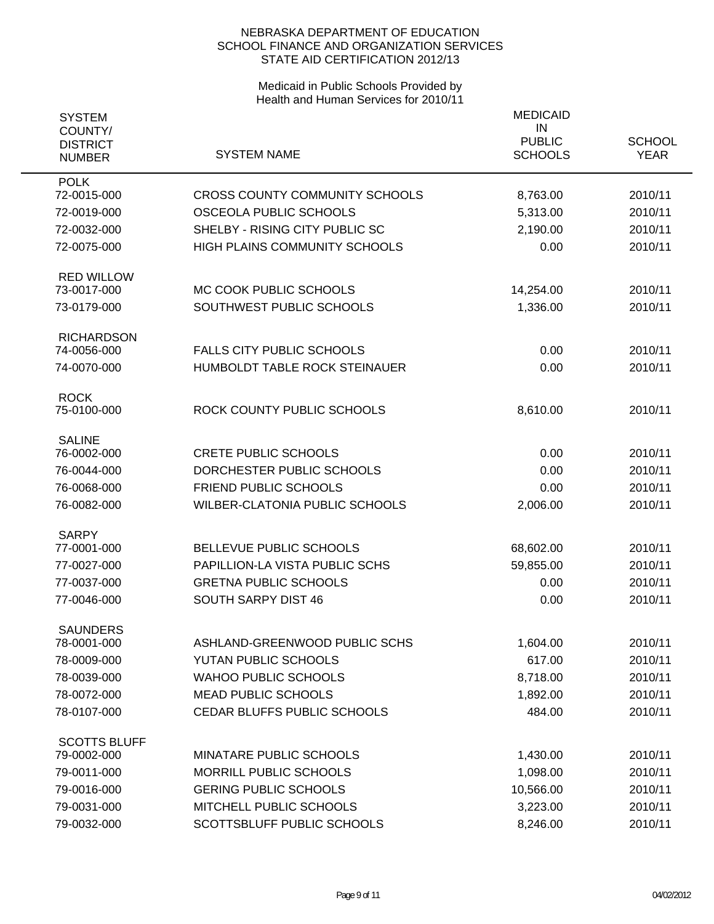| <b>SYSTEM</b><br>COUNTY/<br><b>DISTRICT</b><br><b>NUMBER</b> | <b>SYSTEM NAME</b>                                        | <b>MEDICAID</b><br>IN<br><b>PUBLIC</b><br><b>SCHOOLS</b> | <b>SCHOOL</b><br><b>YEAR</b> |
|--------------------------------------------------------------|-----------------------------------------------------------|----------------------------------------------------------|------------------------------|
| <b>POLK</b><br>72-0015-000                                   | <b>CROSS COUNTY COMMUNITY SCHOOLS</b>                     | 8,763.00                                                 | 2010/11                      |
| 72-0019-000                                                  | OSCEOLA PUBLIC SCHOOLS                                    | 5,313.00                                                 | 2010/11                      |
| 72-0032-000                                                  | SHELBY - RISING CITY PUBLIC SC                            | 2,190.00                                                 | 2010/11                      |
| 72-0075-000                                                  | <b>HIGH PLAINS COMMUNITY SCHOOLS</b>                      | 0.00                                                     | 2010/11                      |
| <b>RED WILLOW</b><br>73-0017-000                             | MC COOK PUBLIC SCHOOLS                                    | 14,254.00                                                | 2010/11                      |
| 73-0179-000                                                  | SOUTHWEST PUBLIC SCHOOLS                                  | 1,336.00                                                 | 2010/11                      |
| <b>RICHARDSON</b><br>74-0056-000                             | <b>FALLS CITY PUBLIC SCHOOLS</b>                          | 0.00                                                     | 2010/11                      |
| 74-0070-000                                                  | HUMBOLDT TABLE ROCK STEINAUER                             | 0.00                                                     | 2010/11                      |
| <b>ROCK</b><br>75-0100-000                                   | ROCK COUNTY PUBLIC SCHOOLS                                | 8,610.00                                                 | 2010/11                      |
| <b>SALINE</b>                                                |                                                           |                                                          |                              |
| 76-0002-000                                                  | <b>CRETE PUBLIC SCHOOLS</b>                               | 0.00<br>0.00                                             | 2010/11<br>2010/11           |
| 76-0044-000<br>76-0068-000                                   | DORCHESTER PUBLIC SCHOOLS<br><b>FRIEND PUBLIC SCHOOLS</b> | 0.00                                                     | 2010/11                      |
| 76-0082-000                                                  | WILBER-CLATONIA PUBLIC SCHOOLS                            | 2,006.00                                                 | 2010/11                      |
|                                                              |                                                           |                                                          |                              |
| <b>SARPY</b>                                                 |                                                           |                                                          |                              |
| 77-0001-000                                                  | BELLEVUE PUBLIC SCHOOLS                                   | 68,602.00                                                | 2010/11                      |
| 77-0027-000                                                  | PAPILLION-LA VISTA PUBLIC SCHS                            | 59,855.00                                                | 2010/11                      |
| 77-0037-000                                                  | <b>GRETNA PUBLIC SCHOOLS</b>                              | 0.00                                                     | 2010/11                      |
| 77-0046-000                                                  | <b>SOUTH SARPY DIST 46</b>                                | 0.00                                                     | 2010/11                      |
| <b>SAUNDERS</b><br>78-0001-000                               | ASHLAND-GREENWOOD PUBLIC SCHS                             | 1,604.00                                                 | 2010/11                      |
| 78-0009-000                                                  | YUTAN PUBLIC SCHOOLS                                      | 617.00                                                   | 2010/11                      |
| 78-0039-000                                                  | <b>WAHOO PUBLIC SCHOOLS</b>                               | 8,718.00                                                 | 2010/11                      |
| 78-0072-000                                                  | <b>MEAD PUBLIC SCHOOLS</b>                                | 1,892.00                                                 | 2010/11                      |
| 78-0107-000                                                  | CEDAR BLUFFS PUBLIC SCHOOLS                               | 484.00                                                   | 2010/11                      |
|                                                              |                                                           |                                                          |                              |
| <b>SCOTTS BLUFF</b>                                          |                                                           |                                                          |                              |
| 79-0002-000<br>79-0011-000                                   | MINATARE PUBLIC SCHOOLS<br><b>MORRILL PUBLIC SCHOOLS</b>  | 1,430.00                                                 | 2010/11<br>2010/11           |
| 79-0016-000                                                  | <b>GERING PUBLIC SCHOOLS</b>                              | 1,098.00                                                 | 2010/11                      |
| 79-0031-000                                                  | MITCHELL PUBLIC SCHOOLS                                   | 10,566.00                                                |                              |
| 79-0032-000                                                  | SCOTTSBLUFF PUBLIC SCHOOLS                                | 3,223.00<br>8,246.00                                     | 2010/11<br>2010/11           |
|                                                              |                                                           |                                                          |                              |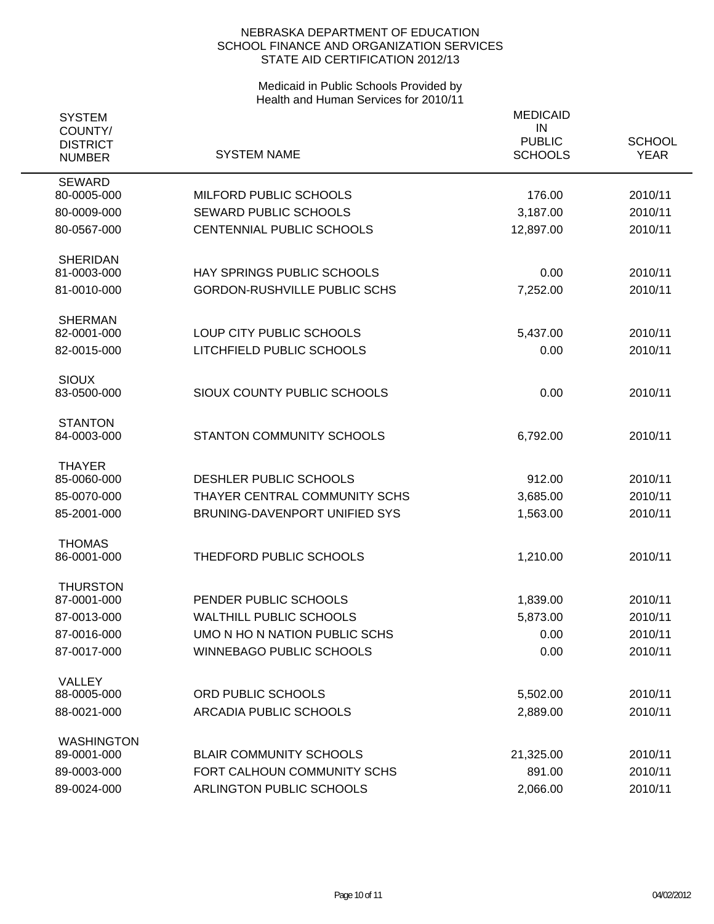| <b>SYSTEM</b><br>COUNTY/<br><b>DISTRICT</b><br><b>NUMBER</b> | <b>SYSTEM NAME</b>                  | <b>MEDICAID</b><br>IN<br><b>PUBLIC</b><br><b>SCHOOLS</b> | <b>SCHOOL</b><br><b>YEAR</b> |
|--------------------------------------------------------------|-------------------------------------|----------------------------------------------------------|------------------------------|
| <b>SEWARD</b><br>80-0005-000                                 | MILFORD PUBLIC SCHOOLS              | 176.00                                                   | 2010/11                      |
| 80-0009-000                                                  | <b>SEWARD PUBLIC SCHOOLS</b>        | 3,187.00                                                 | 2010/11                      |
| 80-0567-000                                                  | CENTENNIAL PUBLIC SCHOOLS           | 12,897.00                                                | 2010/11                      |
| <b>SHERIDAN</b><br>81-0003-000                               | HAY SPRINGS PUBLIC SCHOOLS          | 0.00                                                     | 2010/11                      |
| 81-0010-000                                                  | <b>GORDON-RUSHVILLE PUBLIC SCHS</b> | 7,252.00                                                 | 2010/11                      |
| <b>SHERMAN</b>                                               |                                     |                                                          |                              |
| 82-0001-000                                                  | LOUP CITY PUBLIC SCHOOLS            | 5,437.00                                                 | 2010/11                      |
| 82-0015-000                                                  | LITCHFIELD PUBLIC SCHOOLS           | 0.00                                                     | 2010/11                      |
| <b>SIOUX</b><br>83-0500-000                                  | SIOUX COUNTY PUBLIC SCHOOLS         | 0.00                                                     | 2010/11                      |
| <b>STANTON</b><br>84-0003-000                                | STANTON COMMUNITY SCHOOLS           | 6,792.00                                                 | 2010/11                      |
| <b>THAYER</b><br>85-0060-000                                 | DESHLER PUBLIC SCHOOLS              | 912.00                                                   | 2010/11                      |
| 85-0070-000                                                  | THAYER CENTRAL COMMUNITY SCHS       | 3,685.00                                                 | 2010/11                      |
| 85-2001-000                                                  | BRUNING-DAVENPORT UNIFIED SYS       | 1,563.00                                                 | 2010/11                      |
| <b>THOMAS</b><br>86-0001-000                                 | THEDFORD PUBLIC SCHOOLS             | 1,210.00                                                 | 2010/11                      |
| <b>THURSTON</b><br>87-0001-000                               | PENDER PUBLIC SCHOOLS               | 1,839.00                                                 | 2010/11                      |
| 87-0013-000                                                  | <b>WALTHILL PUBLIC SCHOOLS</b>      | 5,873.00                                                 | 2010/11                      |
| 87-0016-000                                                  | UMO N HO N NATION PUBLIC SCHS       | 0.00                                                     | 2010/11                      |
| 87-0017-000                                                  | <b>WINNEBAGO PUBLIC SCHOOLS</b>     | 0.00                                                     | 2010/11                      |
| <b>VALLEY</b>                                                |                                     |                                                          |                              |
| 88-0005-000                                                  | <b>ORD PUBLIC SCHOOLS</b>           | 5,502.00                                                 | 2010/11                      |
| 88-0021-000                                                  | <b>ARCADIA PUBLIC SCHOOLS</b>       | 2,889.00                                                 | 2010/11                      |
| <b>WASHINGTON</b><br>89-0001-000                             | <b>BLAIR COMMUNITY SCHOOLS</b>      | 21,325.00                                                | 2010/11                      |
| 89-0003-000                                                  | FORT CALHOUN COMMUNITY SCHS         | 891.00                                                   | 2010/11                      |
| 89-0024-000                                                  | ARLINGTON PUBLIC SCHOOLS            | 2,066.00                                                 | 2010/11                      |